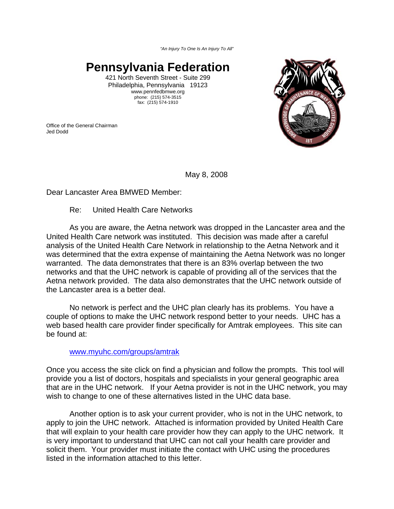*"An Injury To One Is An Injury To All"*

## **Pennsylvania Federation**

421 North Seventh Street - Suite 299 Philadelphia, Pennsylvania 19123 www.pennfedbmwe.org phone: (215) 574-3515 fax: (215) 574-1910

Office of the General Chairman Jed Dodd



May 8, 2008

Dear Lancaster Area BMWED Member:

#### Re: United Health Care Networks

As you are aware, the Aetna network was dropped in the Lancaster area and the United Health Care network was instituted. This decision was made after a careful analysis of the United Health Care Network in relationship to the Aetna Network and it was determined that the extra expense of maintaining the Aetna Network was no longer warranted. The data demonstrates that there is an 83% overlap between the two networks and that the UHC network is capable of providing all of the services that the Aetna network provided. The data also demonstrates that the UHC network outside of the Lancaster area is a better deal.

No network is perfect and the UHC plan clearly has its problems. You have a couple of options to make the UHC network respond better to your needs. UHC has a web based health care provider finder specifically for Amtrak employees. This site can be found at:

#### www.myuhc.com/groups/amtrak

Once you access the site click on find a physician and follow the prompts. This tool will provide you a list of doctors, hospitals and specialists in your general geographic area that are in the UHC network. If your Aetna provider is not in the UHC network, you may wish to change to one of these alternatives listed in the UHC data base.

Another option is to ask your current provider, who is not in the UHC network, to apply to join the UHC network. Attached is information provided by United Health Care that will explain to your health care provider how they can apply to the UHC network. It is very important to understand that UHC can not call your health care provider and solicit them. Your provider must initiate the contact with UHC using the procedures listed in the information attached to this letter.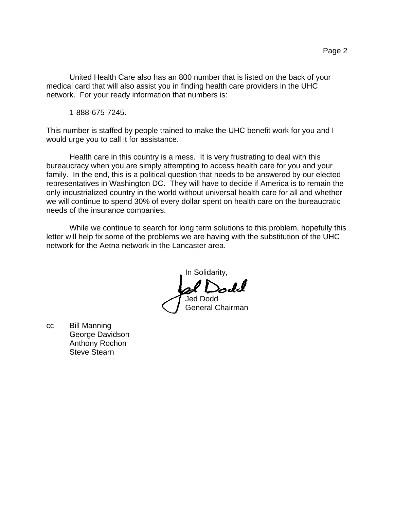United Health Care also has an 800 number that is listed on the back of your medical card that will also assist you in finding health care providers in the UHC network. For your ready information that numbers is:

1-888-675-7245.

This number is staffed by people trained to make the UHC benefit work for you and I would urge you to call it for assistance.

Health care in this country is a mess. It is very frustrating to deal with this bureaucracy when you are simply attempting to access health care for you and your family. In the end, this is a political question that needs to be answered by our elected representatives in Washington DC. They will have to decide if America is to remain the only industrialized country in the world without universal health care for all and whether we will continue to spend 30% of every dollar spent on health care on the bureaucratic needs of the insurance companies.

While we continue to search for long term solutions to this problem, hopefully this letter will help fix some of the problems we are having with the substitution of the UHC network for the Aetna network in the Lancaster area.

In Solidarity, odd Jed Dodd General Chairman

cc Bill Manning George Davidson Anthony Rochon Steve Stearn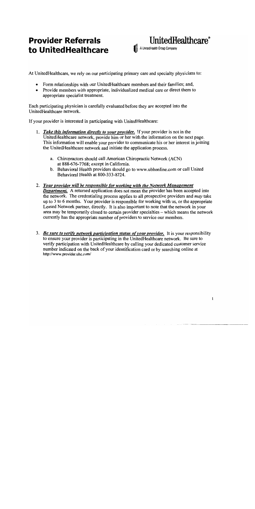# **Provider Referrals** to UnitedHealthcare



At UnitedHealthcare, we rely on our participating primary care and specialty physicians to:

- $\bullet$ Form relationships with our UnitedHealthcare members and their families; and,
- Provide members with appropriate, individualized medical care or direct them to appropriate specialist treatment.

Each participating physician is carefully evaluated before they are accepted into the UnitedHealthcare network.

If your provider is interested in participating with UnitedHealthcare:

- 1. Take this information directly to your provider. If your provider is not in the UnitedHealthcare network, provide him or her with the information on the next page. This information will enable your provider to communicate his or her interest in joining the UnitedHealthcare network and initiate the application process.
	- a. Chiropractors should call American Chiropractic Network (ACN) at 888-676-7768; except in California.
	- b. Behavioral Health providers should go to www.ubhonline.com or call United Behavioral Health at 800-333-8724.
- 2. Your provider will be responsible for working with the Network Management **Department.** A returned application does not mean the provider has been accepted into the network. The credentialing process applies to all prospective providers and *may* take up to 3 to 6 months. Your provider is responsible for working with us, or the appropriate Leased Network partner, directly. It is also important to note that the network in your area may be temporarily closed to certain provider specialties – which means the network currently has the appropriate number of providers to service our members.
- 3. Be sure to verify network participation status of your provider. It is your responsibility to ensure your provider is participating in the UnitedHealthcare network. Be sure to verify participation with UnitedHealthcare by calling your dedicated customer service number indicated on the back of your identification card or by searching online at http://www.provider.uhc.com/

 $\mathbf{1}$